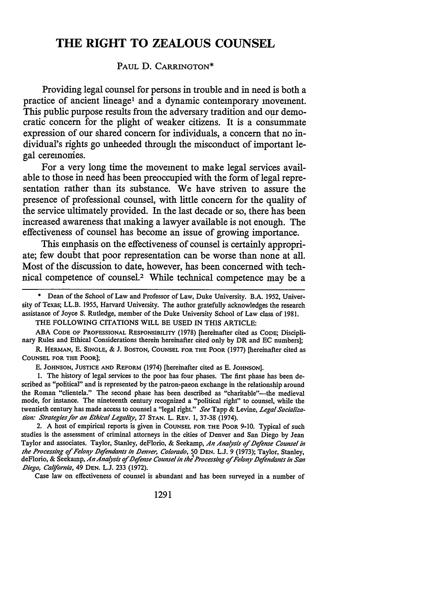# **THE RIGHT TO ZEALOUS COUNSEL**

## **PAUL** D. CARRINGTON\*

Providing legal counsel for persons in trouble and in need is both a practice of ancient lineage1 and a dynamic contemporary movement. This public purpose results from the adversary tradition and our democratic concern for the plight of weaker citizens. It is a consummate expression of our shared concern for individuals, a concern that no **in**dividual's rights go unheeded through the misconduct of important legal ceremonies.

For a very long time the movement to make legal services available to those in need has been preoccupied with the form of legal representation rather than its substance. We have striven to assure the presence of professional counsel, with little concern for the quality of the service ultimately provided. In the last decade or so, there has been increased awareness that making a lawyer available is not enough. The effectiveness of counsel has become an issue of growing importance.

This emphasis on the effectiveness of counsel is certainly appropriate; few doubt that poor representation can be worse than none at all. Most of the discussion to date, however, has been concerned with technical competence of counsel.2 While technical competence may be a

R. HERMAN, E. SINGLE, **&** J. BOSTON, COUNSEL FOR THE POOR (1977) [hereinafter cited as COUNSEL FOR THE POOR];

E. JOHNSON, JUSTICE AND REFORM (1974) [hereinafter cited as **E.** JOHNSON].

1. The history of legal services to the poor has four phases. The first phase has been described as "political" and is represented by the patron-paeon exchange in the relationship around the Roman "clientela." The second phase has been described as "charitable"--the medieval mode, for instance. The nineteenth century recognized a "political right" to counsel, while the twentieth century has made access to counsel a "legal right." *See* Tapp & Levine, *Legal Socialization: Strategiesfor an Ethical Legaliy,* 27 STAN. L. REV. **1,** 37-38 (1974).

2. A host of empirical reports is given in COUNSEL FOR THE POOR 9-10. Typical of such studies is the assessment of criminal attorneys in the cities of Denver and San Diego by Jean Taylor and associates. Taylor, Stanley, deFlorio, & Seekamp, *An Analysis o/Defense Counsel in* the Processing of Felony Defendants in Denver, Colorado, 50 DEN. L.J. 9 (1973); Taylor, Stanley, deFlorio, & Seekainp, An Analysis of Defense Counsel in the Processing of Felony Defendants in San *Diego, California,* 49 DEN. L.J. 233 (1972).

Case law on effectiveness of counsel is abundant and has been surveyed in a number of

<sup>\*</sup> Dean of the School of Law and Professor of Law, Duke University. B.A. 1952, University of Texas; LL.B. 1955, Harvard University. The author gratefully acknowledges the research assistance of Joyce S. Rutledge, member of the Duke University School of Law class of 1981.

THE FOLLOWING CITATIONS WILL BE USED IN THIS ARTICLE:

**ABA CODE** OF PROFESSIONAL RESPONSIBILITY (1978) [hereinafter cited as **CODE;** Disciplinary Rules and Ethical Considerations therein hereinafter cited only by DR and EC numbers];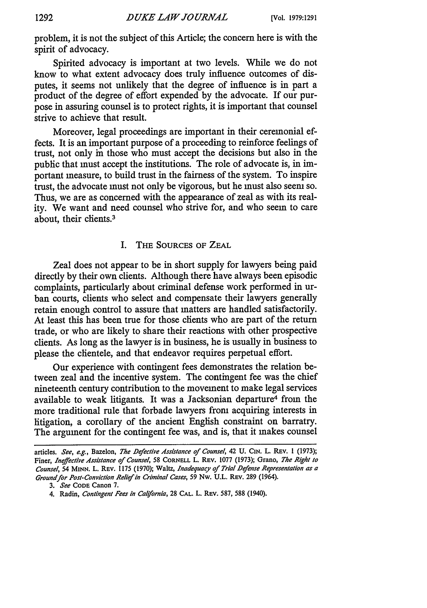problem, it is not the subject of this Article; the concern here is with the spirit of advocacy.

Spirited advocacy is important at two levels. While we do not know to what extent advocacy does truly influence outcomes of disputes, it seems not unlikely that the degree of influence is in part a product of the degree of effort expended by the advocate. If our purpose in assuring counsel is to protect rights, it is important that counsel strive to achieve that result.

Moreover, legal proceedings are important in their ceremonial effects. It is an important purpose of a proceeding to reinforce feelings of trust, not only in those who must accept the decisions but also in the public that must accept the institutions. The role of advocate is, in important measure, to build trust in the fairness of the system. To inspire trust, the advocate must not only be vigorous, but he must also seem so. Thus, we are as concerned with the appearance of zeal as with its reality. We want and need counsel who strive for, and who seem to care about, their chents.<sup>3</sup>

I. **THE SOURCES** OF ZEAL

Zeal does not appear to be in short supply for lawyers being paid directly by their own clients. Although there have always been episodic complaints, particularly about criminal defense work performed in urban courts, clients who select and compensate their lawyers generally retain enough control to assure that matters are handled satisfactorily. At least this has been true for those clients who are part of the return trade, or who are likely to share their reactions with other prospective clients. As long as the lawyer is in business, he is usually in business to please the clientele, and that endeavor requires perpetual effort.

Our experience with contingent fees demonstrates the relation between zeal and the incentive system. The contingent fee was the chief nineteenth century contribution to the movement to make legal services available to weak litigants. It was a Jacksonian departure<sup>4</sup> from the more traditional rule that forbade lawyers from acquiring interests in litigation, a corollary of the ancient English constraint on barratry. The argument for the contingent fee was, and is, that it makes counsel

3. *See* **CODE** Canon 7.

articles. *See, e.g.,* Bazelon, *The Defective Assistance of Counsel,* 42 **U.** CIN. L. REv. **1** (1973); Finer, Ineffective Assistance of Counsel, 58 CORNELL L. REV. 1077 (1973); Grano, The Right to *Counsel, 54 MINN.* L. REv. 1175 (1970); Waltz, *Inadequacy of Trial Defense Representation as a* Ground/or Post-Conviction *Relief in* Criminal *Cases,* 59 Nw. U.L. REv. 289 (1964).

<sup>4.</sup> Radin, *Contingent Fees in California,* 28 CAL. L. REv. 587, 588 (1940).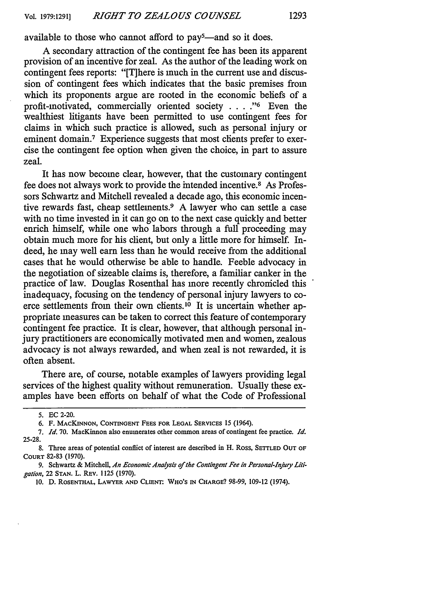available to those who cannot afford to pay<sup>5</sup>—and so it does.

A secondary attraction of the contingent fee has been its apparent provision of an incentive for zeal. As the author of the leading work on contingent fees reports: "[T]here is much in the current use and discussion of contingent fees which indicates that the basic premises from which its proponents argue are rooted in the economic beliefs of a profit-motivated, commercially oriented society . . . .<sup>76</sup> Even the wealthiest litigants have been permitted to use contingent fees for claims in which such practice is allowed, such as personal injury or eminent domain.<sup>7</sup> Experience suggests that most clients prefer to exercise the contingent fee option when given the choice, in part to assure zeal.

It has now become clear, however, that the customary contingent fee does not always work to provide the intended incentive. 8 As Professors Schwartz and Mitchell revealed a decade ago, this economic incentive rewards fast, cheap settlements.9 A lawyer who can settle a case with no time invested in it can go on to the next case quickly and better enrich himself, while one who labors through a full proceeding may obtain much more for his client, but only a little more for himself. Indeed, he may well earn less than he would receive from the additional cases that he would otherwise be able to handle. Feeble advocacy in the negotiation of sizeable claims is, therefore, a familiar canker in the practice of law. Douglas Rosenthal has more recently chronicled this inadequacy, focusing on the tendency of personal injury lawyers to coerce settlements from their own clients.<sup>10</sup> It is uncertain whether appropriate measures can be taken to correct this feature of contemporary contingent fee practice. It is clear, however, that although personal injury practitioners are economically motivated men and women, zealous advocacy is not always rewarded, and when zeal is not rewarded, it is often absent.

There are, of course, notable examples of lawyers providing legal services of the highest quality without remuneration. Usually these examples have been efforts on behalf of what the Code of Professional

**8.** Three areas of potential conflict of interest are described in H. Ross, SETTLED **OUT** OF COURT 82-83 (1970).

<sup>5.</sup> EC 2-20.

<sup>6.</sup> F. MACKINNON, **CONTINGENT FEES** FOR **LEGAL** SERVICES 15 (1964).

<sup>7.</sup> *Id.* **70.** MacKinnon also enumerates other common areas of contingent fee practice. *Id.* 25-28.

<sup>9.</sup> Schwartz & Mitchell, 4n *Economic Analysis of the Contingent Fee in Personal-Injury* Liti*gation,* 22 **STAN.** L. REV. 1125 (1970).

<sup>10.</sup> D. ROSENTHAL, LAWYER **AND CLIENT.** WHO's **IN** CHARGE? 98-99, 109-12 (1974).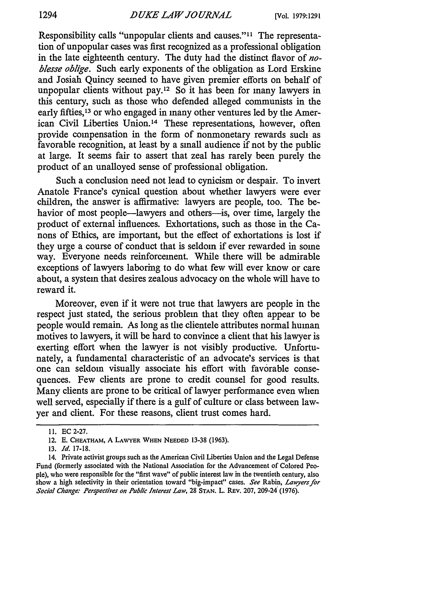Responsibility calls "unpopular clients and causes."<sup>11</sup> The representation of unpopular cases was first recognized as a professional obligation in the late eighteenth century. The duty had the distinct flavor of *noblesse oblige.* Such early exponents of the obligation as Lord Erskine and Josiah Quincy seemed to have given premier efforts on behalf of unpopular clients without pay.<sup>12</sup> So it has been for many lawyers in this century, such as those who defended alleged communists in the early fifties,<sup>13</sup> or who engaged in many other ventures led by the American Civil Liberties Union.<sup>14</sup> These representations, however, often provide compensation in the form of nonmonetary rewards such as favorable recognition, at least by a small audience if not by the public at large. It seems fair to assert that zeal has rarely been purely the product of an unalloyed sense of professional obligation.

Such a conclusion need not lead to cynicism or despair. To invert Anatole France's cynical question about whether lawyers were ever children, the answer is affirmative: lawyers are people, too. The behavior of most people—lawyers and others—is, over time, largely the product of external influences. Exhortations, such as those in the Canons of Ethics, are important, but the effect of exhortations is lost if they urge a course of conduct that is seldom if ever rewarded in some way. Everyone needs reinforcement. While there will be admirable exceptions of lawyers laboring to do what few will ever know or care about, a system that desires zealous advocacy on the whole will have to reward it.

Moreover, even if it were not true that lawyers are people in the respect just stated, the serious problem that they often appear to be people would remain. As long as the clientele attributes normal human motives to lawyers, it will be hard to convince a client that his lawyer is exerting effort when the lawyer is not visibly productive. Unfortunately, a fundamental characteristic of an advocate's services is that one can seldom visually associate his effort with favorable consequences. Few clients are prone to credit counsel for good results. Many clients are prone to be critical of lawyer performance even when well served, especially if there is a gulf of culture or class between lawyer and client. For these reasons, client trust comes hard.

<sup>11.</sup> EC 2-27.

<sup>12.</sup> **E. CHEATHAM,** A LAWYER **WHEN NEEDED 13-38 (1963).**

**<sup>13,</sup> Id.** 17-18.

<sup>14.</sup> Private activist groups such as the American Civil Liberties Union and the Legal Defense Fund (formerly associated with the National Association for the Advancement of Colored People), who were responsible for the "first wave" of public interest law in the twentieth century, also show a high selectivity in their orientation toward "big-impact" cases. See Rabin, *Lawyers/or* Social Change. *Perspectives on Public Interest Law,* 28 **STAN.** L. REv. 207, 209-24 (1976).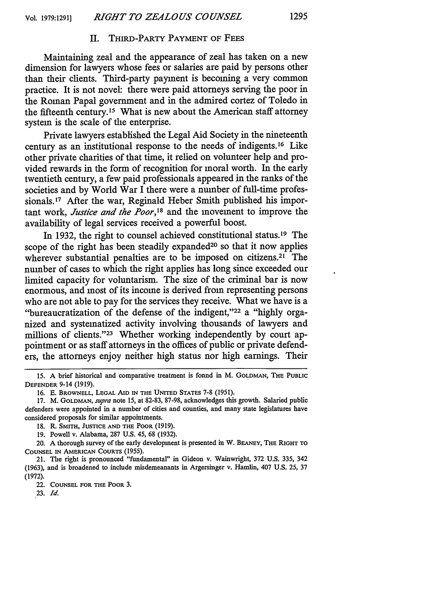## II. THIRD-PARTY PAYMENT OF FEES

Maintaining zeal and the appearance of zeal has taken on a new dimension for lawyers whose fees or salaries are paid by persons other than their clients. Third-party payment is becoming a very common practice. It is not novel: there were paid attorneys serving the poor in the Roman Papal government and in the admired cortez of Toledo in the fifteenth century.<sup>15</sup> What is new about the American staff attorney system is the scale of the enterprise.

Private lawyers established the Legal Aid Society in the nineteenth century as an institutional response to the needs of indigents. 16 Like other private charities of that time, it relied on volunteer help and provided rewards in the form of recognition for moral worth. In the early twentieth century, a few paid professionals appeared in the ranks of the societies and by World War I there were a number of full-time professionals.<sup>17</sup> After the war, Reginald Heber Smith published his important work, *Justice and the Poor,18* and the movement to improve the availability of legal services received a powerful boost.

In 1932, the right to counsel achieved constitutional status.<sup>19</sup> The scope of the right has been steadily expanded<sup>20</sup> so that it now applies wherever substantial penalties are to be imposed on citizens.<sup>21</sup> The number of cases to which the right applies has long since exceeded our limited capacity for voluntarism. The size of the criminal bar is now enormous, and most of its income is derived from representing persons who are not able to pay for the services they receive. What we have is a "bureaucratization of the defense of the indigent,"<sup>22</sup> a "highly organized and systematized activity involving thousands of lawyers and millions of clients."<sup>23</sup> Whether working independently by court appointment or as staff attorneys in the offices of public or private defenders, the attorneys enjoy neither high status nor high earnings. Their

- 16. **E.** BROWNELL, LEGAL AID IN **THE** UNITED STATES 7-8 **(1951).**
- 17. M. GOLDMAN, *supra* note 15, at 82-83, 87-98, acknowledges this growth. Salaried public defenders were appointed in a number of cities and counties, and many state legislatures have considered proposals for similar appointments.
	- **18. R.** SMITH, **JUSTICE AND THE** POOR **(1919).**
	- **19.** Powell v. Alabama, **287 U.S.** 45, **68 (1932).**

20. **A** thorough survey of the early development is presented in W. **BEANEY, THE** RIGHT **TO COUNSEL IN** AMERICAN **COURTS (1955).**

22. **COUNSEL** FOR **THE** POOR 3.

**23.** *Id.*

<sup>15.</sup> A brief historical and comparative treatment is found in M. GOLDMAN, THE **PUBLIC** DEFENDER 9-14 (1919).

<sup>21.</sup> The right is pronounced "fundamental" in Gideon v. Wainwright, **372 U.S. 335,** 342 **(1963),** and is broadened to include misdemeanants in Argersinger v. Hamlin, 407 **U.S. 25, 37** (1972).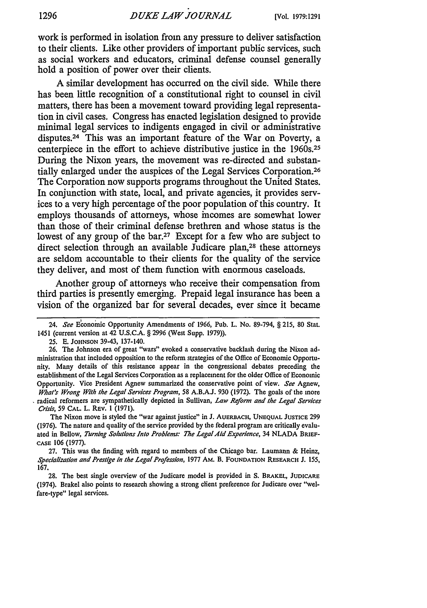work is performed in isolation from any pressure to deliver satisfaction to their clients. Like other providers of important public services, such as social workers and educators, criminal defense counsel generally hold a position of power over their clients.

A similar development has occurred on the civil side. While there has been little recognition of a constitutional right to counsel in civil matters, there has been a movement toward providing legal representation in civil cases. Congress has enacted legislation designed to provide minimal legal services to indigents engaged in civil or administrative disputes. 24 This was an important feature of the War on Poverty, a centerpiece in the effort to achieve distributive justice in the 1960s.<sup>25</sup> During the Nixon years, the movement was re-directed and substantially enlarged under the auspices of the Legal Services Corporation. <sup>26</sup> The Corporation now supports programs throughout the United States. In conjunction with state, local, and private agencies, it provides services to a very high percentage of the poor population of this country. It employs thousands of attorneys, whose incomes are somewhat lower than those of their criminal defense brethren and whose status is the lowest of any group of the bar.<sup>27</sup> Except for a few who are subject to direct selection through an available Judicare plan,<sup>28</sup> these attorneys are seldom accountable to their clients for the quality of the service they deliver, and most of them function with enormous caseloads.

Another group of attorneys who receive their compensation from third parties is presently emerging. Prepaid legal insurance has been a vision of the organized bar for several decades, ever since it became

The Nixon move is styled the "war against justice" in J. AUERBACH, UNEQUAL JUsTIcE 299 (1976). The nature and quality of the service provided by the federal program are critically evaluated in Bellow, *Turning Solutions Into Problems: The Legal Aid Experience*, 34 NLADA BRIEF-CASE 106 (1977).

<sup>24.</sup> *See* Economic Opportunity Amendments of 1966, Pub. L. No. 89-794, § 215, **80** Stat. 1451 (current version at 42 U.S.C.A. § 2996 (West Supp. 1979)).

<sup>25.</sup> E. JOHNSON 39-43, 137-140.

<sup>26.</sup> The Johnson era of great "wars" evoked a conservative backlash during the Nixon administration that included opposition to the reform strategies of the Office of Economic Opportunity. Many details of this resistance appear in the congressional debates preceding the establishment of the Legal Services Corporation as a replacement for the older Office of Economic Opportunity. Vice President Agnew summarized the conservative point of view. *See* Agnew, *What's Wrong With the Legal Services Program*, 58 A.B.A.J. 930 (1972). The goals of the more radical reformers are sympathetically depicted in Sullivan, *Law Reform and the Legal Services Crisis,* 59 CAL. L. REv. **1** (1971).

<sup>27.</sup> This was the finding with regard to members of the Chicago bar. Laumann & Heinz, *Specialization and Prestige in the Legal Profession,* 1977 AM. B. FOUNDATION RESEARCH J. 155, 167.

**<sup>28.</sup>** The best single overview of the Judicare model is provided in **S.** BRAKEL, JUDICARE (1974). Brakel also points to research showing a strong client preference for Judicare over "welfare-type" legal services.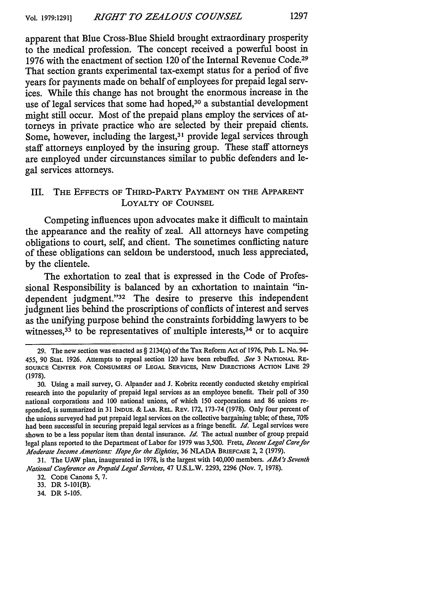apparent that Blue Cross-Blue Shield brought extraordinary prosperity to the medical profession. The concept received a powerful boost in **1976** with the enactment of section 120 of the Internal Revenue Code.<sup>29</sup> That section grants experimental tax-exempt status for a period of five years for payments made on behalf of employees for prepaid legal services. While this change has not brought the enormous increase in the use of legal services that some had hoped,<sup>30</sup> a substantial development might still occur. Most of the prepaid plans employ the services of attorneys in private practice who are selected **by** their prepaid clients. Some, however, including the largest,<sup>31</sup> provide legal services through staff attorneys employed **by** the insuring group. These staff attorneys are employed under circumstances similar to public defenders and legal services attorneys.

## III. **THE** EFFECTS OF THIRD-PARTY PAYMENT ON THE APPARENT LOYALTY OF COUNSEL

Competing influences upon advocates make it difficult to maintain the appearance and the reality of zeal. All attorneys have competing obligations to court, self, and client. The sometimes conflicting nature of these obligations can seldom be understood, much less appreciated, by the clientele.

The exhortation to zeal that is expressed in the Code of Professional Responsibility is balanced by an exhortation to maintain "independent judgment."<sup>32</sup> The desire to preserve this independent judgment lies behind the proscriptions of conflicts of interest and serves as the unifying purpose behind the constraints forbidding lawyers to be witnesses,  $33$  to be representatives of multiple interests,  $34$  or to acquire

34. DR 5-105.

<sup>29.</sup> The new section was enacted as § 2134(a) of the Tax Reform Act of 1976, Pub. L. No. 94- 455, 90 Stat. **1926.** Attempts to repeal section 120 have been rebuffed. *See* 3 **NATIONAL** RE-**SOURCE CENTER FOR CONSUMERS** OF **LEGAL SERVICES, NEW DIRECTIONS** ACTION **LINE** 29 (1978).

<sup>30.</sup> Using a mail survey, G. Alpander and J. Kobritz recently conducted sketchy empirical research into the popularity of prepaid legal services as an employee benefit. Their poll of 350 national corporations and 100 national unions, of which 150 corporations and 86 unions responded, is summarized in 31 INDUS. & LAB. REL. REV. 172, 173-74 (1978). Only four percent of the unions surveyed had put prepaid legal services on the collective bargaining table; of these, 70% had been successful in securing prepaid legal services as a fringe benefit. *Id.* Legal services were shown to be a less popular item than dental insurance. *Id.* The actual number of group prepaid legal plans reported to the Department of Labor for 1979 was 3,500. Fretz, *Decent Legal Carefor Moderate Income Americans: Hopefor the Eighties,* 36 NLADA BRIEFCASE 2, 2 (1979).

**<sup>3</sup> 1.** The UAW plan, inaugurated in 1978, is the largest with 140,000 members. *ABA's Seventh National Conference on Prepaid Legal Services,* 47 U.S.L.W. 2293, 2296 (Nov. 7, 1978).

<sup>32.</sup> **CODE** Canons 5, 7.

<sup>33.</sup> DR 5-101(B).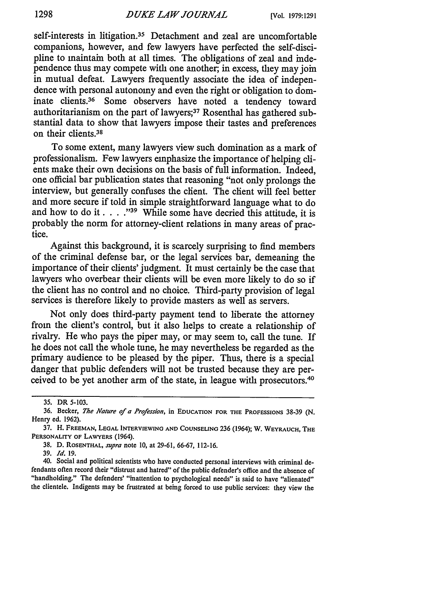self-interests in litigation.<sup>35</sup> Detachment and zeal are uncomfortable companions, however, and few lawyers have perfected the self-discipline to maintain both at all times. The obligations of zeal and independence thus may compete with one another; in excess, they may join in mutual defeat. Lawyers frequently associate the idea of independence with personal autonomy and even the right or obligation to dominate clients.<sup>36</sup> Some observers have noted a tendency toward authoritarianism on the part of lawyers;<sup>37</sup> Rosenthal has gathered substantial data to show that lawyers impose their tastes and preferences on their clients.<sup>38</sup>

To some extent, many lawyers view such domination as a mark of professionalism. Few lawyers emphasize the importance of helping clients make their own decisions on the basis of full information. Indeed, one official bar publication states that reasoning "not only prolongs the interview, but generally confuses the client. The client will feel better and more secure if told in simple straightforward language what to do and how to do it. . . .<sup>39</sup> While some have decried this attitude, it is probably the norm for attorney-client relations in many areas of practice.

Against this background, it is scarcely surprising to find members of the criminal defense bar, or the legal services bar, demeaning the importance of their clients' judgment. It must certainly be the case that lawyers who overbear their clients will be even more likely to do so if the client has no control and no choice. Third-party provision of legal services is therefore likely to provide masters as well as servers.

Not only does third-party payment tend to liberate the attorney from the client's control, but it also helps to create a relationship of rivalry. He who pays the piper may, or may seem to, call the tune. If he does not call the whole tune, he may nevertheless be regarded as the primary audience to be pleased by the piper. Thus, there is a special danger that public defenders will not be trusted because they are perceived to be yet another arm of the state, in league with prosecutors.<sup>44</sup>

39. *Id.* 19.

40. Social and political scientists who have conducted personal interviews with criminal defendants often record their "distrust and hatred" of the public defender's office and the absence of "handholding." The defenders' "inattention to psychological needs" is said to have "alienated" the clientele. Indigents may be frustrated at being forced to use public services: they view the

<sup>35.</sup> DR 5-103.

<sup>36.</sup> Becker, *The Nature* ofa *Profession,* **in EDUCATION FOR THE PROFESSIONS** 38-39 **(N.** Henry ed. 1962).

<sup>37.</sup> H. FREEMAN, LEGAL INTERVIEWING **AND** COUNSELING 236 (1964); W. WEYRAUCH, THE PERSONALITY OF LAWYERS (1964).

<sup>38.</sup> **D. ROSENTHAL,** *supra* **note 10,** at 29-61, 66-67, 112-16.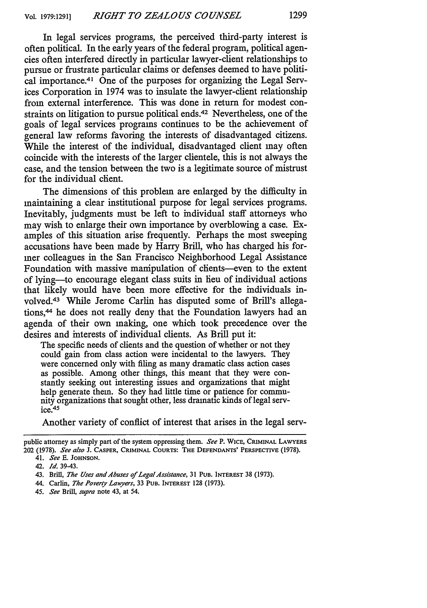In legal services programs, the perceived third-party interest is often political. In the early years of the federal program, political agencies often interfered directly in particular lawyer-client relationships to pursue or frustrate particular claims or defenses deemed to have political importance.<sup>41</sup> One of the purposes for organizing the Legal Services Corporation in 1974 was to insulate the lawyer-client relationship from external interference. This was done in return for modest constraints on litigation to pursue political ends.42 Nevertheless, one of the goals of legal services programs continues to be the achievement of general law reforms favoring the interests of disadvantaged citizens. While the interest of the individual, disadvantaged client may often coincide with the interests of the larger clientele, this is not always the case, and the tension between the two is a legitimate source of mistrust for the individual chent.

The dimensions of this problem are enlarged by the difficulty in maintaining a clear institutional purpose for legal services programs. Inevitably, judgments must be left to individual staff attorneys who may wish to enlarge their own importance by overblowing a case. Examples of this situation arise frequently. Perhaps the most sweeping accusations have been made by Harry Brill, who has charged his former colleagues in the San Francisco Neighborhood Legal Assistance Foundation with massive mampulation of chents--even to the extent of lying-to encourage elegant class suits in lieu of individual actions that likely would have been more effective for the individuals involved.43 While Jerome Carlin has disputed some of Brill's allegations,44 he does not really deny that the Foundation lawyers had an agenda of their own making, one which took precedence over the desires and interests of individual clients. As Brill put it:

The specific needs of clients and the question of whether or not they could gain from class action were incidental to the lawyers. They were concerned only with filing as many dramatic class action cases as possible. Among other things, this meant that they were constantly seeking out interesting issues and organizations that might help generate them. So they had little time or patience for community organizations that sought other, less dramatic kinds of legal service.<sup>45</sup>

Another variety of conflict of interest that arises in the legal serv-

- 44. Carlin, *The Poverty Lawyers,* 33 **PUB.** INTEREST 128 (1973).
- 45. *See Brill, supra* note 43, at 54.

public attorney as simply part of the system oppressing them. *See* P. WICE, CRIMINAL **LAWYERS** 202 **(1978).** *See also* J. CASPER, CRIMINAL COURTS: **THE DEFENDANTS'** PERSPECTIVE (1978).

<sup>41.</sup> *See* **E. JOHNSON.**

<sup>42.</sup> *Id.* 39-43.

<sup>43.</sup> BrilI, *The Uses and Abuses of Legal Assistance,* 31 **PUB.** INTEREST 38 (1973).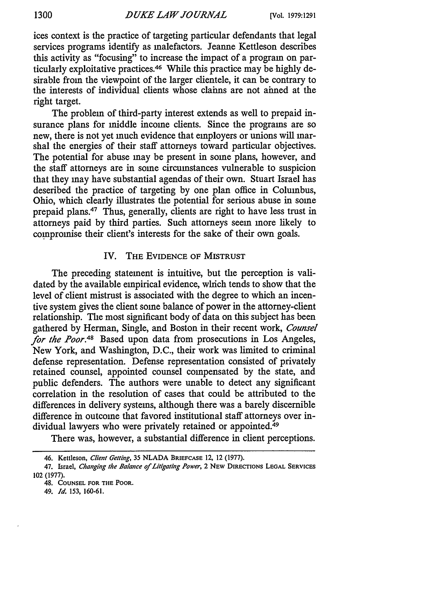ices context is the practice of targeting particular defendants that legal services programs identify as malefactors. Jeanne Kettleson describes this activity as "focusing" to increase the impact of a program on particularly exploitative practices.46 While this practice may be highly desirable from the viewpoint of the larger clientele, it can be contrary to the interests of individual clients whose claims are not aimed at the right target.

The problem of third-party interest extends as well to prepaid insurance plans for middle income clients. Since the programs are so new, there is not yet much evidence that employers or unions will marshal the energies of their staff attorneys toward particular objectives. The potential for abuse may be present in some plans, however, and the staff attorneys are in some circumstances vulnerable to suspicion that they may have substantial agendas of their own. Stuart Israel has described the practice of targeting by one plan office in Columbus, Ohio, which clearly illustrates the potential for serious abuse in some prepaid plans.<sup>47</sup> Thus, generally, clients are right to have less trust in attorneys paid by third parties. Such attorneys seem more likely to compromise their client's interests for the sake of their own goals.

## IV. THE EVIDENCE OF MISTRUST

The preceding statement is intuitive, but the perception is validated by the available empirical evidence, which tends to show that the level of client mistrust is associated with the degree to which an incentive system gives the client some balance of power in the attorney-client relationship. The most significant body of data on this subject has been gathered by Herman, Single, and Boston in their recent work, *Counsel* for the Poor.<sup>48</sup> Based upon data from prosecutions in Los Angeles, New York, and Washington, D.C., their work was limited to criminal defense representation. Defense representation consisted of privately retained counsel, appointed counsel compensated by the state, and public defenders. The authors were unable to detect any significant correlation in the resolution of cases that could be attributed to the differences in delivery systems, although there was a barely discernible difference in outcome that favored institutional staff attorneys over individual lawyers who were privately retained or appointed.<sup>49</sup>

There was, however, a substantial difference in client perceptions.

<sup>46.</sup> Kettleson, Client Getting, 35 NLADA BRIEFCASE 12, 12 (1977).

<sup>47.</sup> Israel, Changing the Balance of Litigating Power, 2 NEw DIRECTIONS **LEGAL SERVICES** 102 (1977).

<sup>48.</sup> **COUNSEL** FOR **THE POOR.**

<sup>49.</sup> *Id.* 153, 160-61.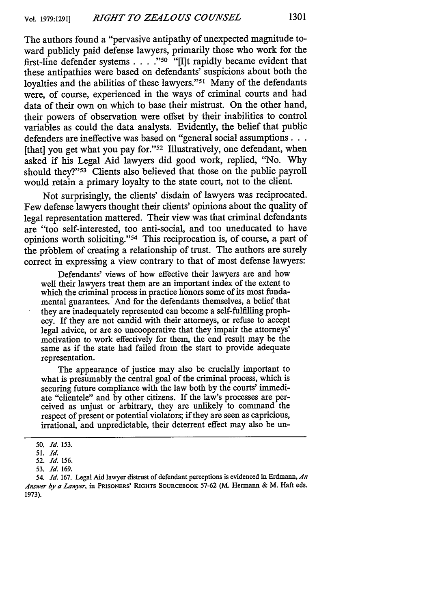The authors found a "pervasive antipathy of unexpected magnitude toward publicly paid defense lawyers, primarily those who work for the first-line defender systems. **... 50** "[I]t rapidly became evident that these antipathies were based on defendants' suspicions about both the loyalties and the abilities of these lawyers."<sup>51</sup> Many of the defendants were, of course, experienced in the ways of criminal courts and had data of their own on which to base their mistrust. On the other hand, their powers of observation were offset by their inabilities to control variables as could the data analysts. Evidently, the belief that public defenders are ineffective was based on "general social assumptions... [that] you get what you pay for."<sup>52</sup> Illustratively, one defendant, when asked if his Legal Aid lawyers did good work, replied, "No. Why should they?"<sup>53</sup> Clients also believed that those on the public payroll would retain a primary loyalty to the state court, not to the client.

Not surprisingly, the clients' disdain of lawyers was reciprocated. Few defense lawyers thought their clients' opinions about the quality of legal representation mattered. Their view was that criminal defendants are "too self-interested, too anti-social, and too uneducated to have opinions worth soliciting."'54 This reciprocation is, of course, a part of the problem of creating a relationship of trust. The authors are surely correct in expressing a view contrary to that of most defense lawyers:

Defendants' views of how effective their lawyers are and how well their lawyers treat them are an important index of the extent to which the criminal process in practice honors some of its most fundamental guarantees. And for the defendants themselves, a belief that they are inadequately represented can become a self-fulfilling prophecy. If they are not candid with their attorneys, or refuse to accept legal advice, or are so uncooperative that they impair the attorneys' motivation to work effectively for them, the end result may be the same as if the state had failed from the start to provide adequate representation.

The appearance of justice may also be crucially important to what is presumably the central goal of the criminal process, which is securing future compliance with the law both by the courts' immediate "clientele" and by other citizens. If the law's processes are perceived as unjust or arbitrary, they are unlikely to command the respect of present or potential violators; if they are seen as capricious, irrational, and unpredictable, their deterrent effect may also be un-

<sup>50.</sup> *Id.* 153.

*<sup>51.</sup> Id.*

**<sup>52.</sup>** *Id.* 156.

<sup>53.</sup> *Id.* 169.

*<sup>54.</sup> Id.* 167. Legal Aid lawyer distrust of defendant perceptions is evidenced in Erdmann, *An .4nswer by a Lawyer,* in PRISONERS' RIGHTS SOURCEBOOK 57-62 (M. Hermann & M. Haft eds. 1973).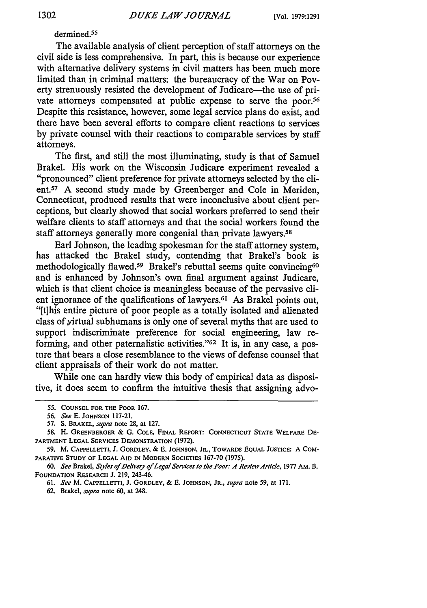dermined.<sup>55</sup>

The available analysis of client perception of staff attorneys on the civil side is less comprehensive. In part, this is because our experience with alternative delivery systems in civil matters has been much more limited than in criminal matters: the bureaucracy of the War on Poverty strenuously resisted the development of Judicare—the use of private attorneys compensated at public expense to serve the poor.<sup>56</sup> Despite this resistance, however, some legal service plans do exist, and there have been several efforts to compare client reactions to services by private counsel with their reactions to comparable services by staff attorneys.

The first, and still the most illuminating, study is that of Samuel Brakel. His work on the Wisconsin Judicare experiment revealed a "pronounced" client preference for private attorneys selected by the client.<sup>57</sup> A second study made by Greenberger and Cole in Meriden, Connecticut, produced results that were inconclusive about client perceptions, but clearly showed that social workers preferred to send their welfare clients to staff attorneys and that the social workers found the staff attorneys generally more congenial than private lawyers.<sup>58</sup>

Earl Johnson, the leading spokesman for the staff attorney system, has attacked the Brakel study, contending that Brakel's book is methodologically flawed.<sup>59</sup> Brakel's rebuttal seems quite convincing<sup>60</sup> and is enhanced by Johnson's own final argument against Judicare, which is that client choice is meaningless because of the pervasive client ignorance of the qualifications of lawyers.<sup>61</sup> As Brakel points out, "[tlhis entire picture of poor people as a totally isolated and alienated class of virtual subhumans is only one of several myths that are used to support indiscriminate preference for social engineering, law reforming, and other paternalistic activities."<sup>62</sup> It is, in any case, a posture that bears a close resemblance to the views of defense counsel that client appraisals of their work do not matter.

While one can hardly view this body of empirical data as dispositive, it does seem to confirm the intuitive thesis that assigning advo-

<sup>55.</sup> **COUNSEL FOR THE POOR** 167.

<sup>56.</sup> *See* E. **JOHNSON** 117-21.

**<sup>57.</sup> S. BRAKEL,** *supra* note 28, at 127.

<sup>58.</sup> H. **GREENBERGER & G. COLE, FINAL** REPORT: **CONNECTICUT STATE WELFARE DE-**PARTMENT **LEGAL** SERVICES **DEMONSTRATION** (1972).

**<sup>59,</sup>** M. **CAPPELLETTI, J. GORDLEY,** & **E. JOHNSON, JR., TOWARDS EQUAL JUSTICE: A COM-PARATIVE STUDY OF LEGAL AID IN MODERN SOCIETIES 167-70 (1975).**

<sup>60.</sup> *See* Brakel, *Styles f Delivery of Legal Services to the Poor: A ReviewArticle,* 1977 AM. B. FOUNDATION RESEARCH J. 219, 243-46.

<sup>61.</sup> *See* M. CAPPELLETTI, J. GORDLEY, & E. **JOHNSON,** JR., *supra* note 59, at 171.

<sup>62.</sup> Brakel, *supra* note 60, at 248.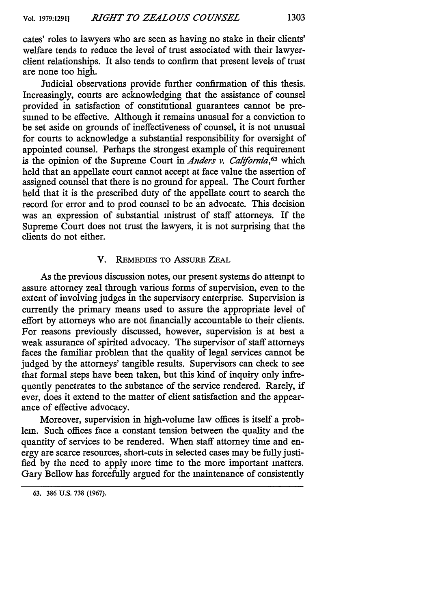cates' roles to lawyers who are seen as having no stake in their chents' welfare tends to reduce the level of trust associated with their lawyerclient relationships. It also tends to confirm that present levels of trust are none too high.

Judicial observations provide further confirmation of this thesis. Increasingly, courts are acknowledging that the assistance of counsel provided in satisfaction of constitutional guarantees cannot be presumed to be effective. Although it remains unusual for a conviction to be set aside on grounds of ineffectiveness of counsel, it is not unusual for courts to acknowledge a substantial responsibility for oversight of appointed counsel. Perhaps the strongest example of this requirement is the opinion of the Supreme Court in *Anders v. California,63* which held that an appellate court cannot accept at face value the assertion of assigned counsel that there is no ground for appeal. The Court further held that it is the prescribed duty of the appellate court to search the record for error and to prod counsel to be an advocate. This decision was an expression of substantial mistrust of staff attorneys. If the Supreme Court does not trust the lawyers, it is not surprising that the clients do not either.

## V. **REMEDIES TO** ASSURE ZEAL

As the previous discussion notes, our present systems do attempt to assure attorney zeal through various forms of supervision, even to the extent of involving judges in the supervisory enterprise. Supervision is currently the primary means used to assure the appropriate level of effort by attorneys who are not financially accountable to their clients. For reasons previously discussed, however, supervision is at best a weak assurance of spirited advocacy. The supervisor of staff attorneys faces the familiar problem that the quality of legal services cannot be judged by the attorneys' tangible results. Supervisors can check to see that formal steps have been taken, but this kind of inquiry only infrequently penetrates to the substance of the service rendered. Rarely, if ever, does it extend to the matter of client satisfaction and the appearance of effective advocacy.

Moreover, supervision in high-volume law offices is itself a problem. Such offices face a constant tension between the quality and the quantity of services to be rendered. When staff attorney time and energy are scarce resources, short-cuts in selected cases may be fully justified by the need to apply more time to the more important matters. Gary Bellow has forcefully argued for the maintenance of consistently

**<sup>63. 386</sup> U.S. 738 (1967).**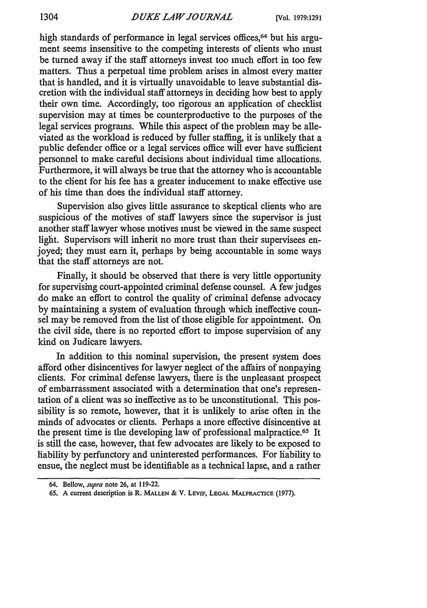high standards of performance in legal services offices,<sup>64</sup> but his argument seems insensitive to the competing interests of clients who must be turned away if the staff attorneys invest too much effort in too few matters. Thus a perpetual time problem arises in almost every matter that is handled, and it is virtually unavoidable to leave substantial discretion with the individual staff attorneys in deciding how best to apply their own time. Accordingly, too rigorous an application of checklist supervision may at times be counterproductive to the purposes of the legal services programs. While this aspect of the problem may be alleviated as the workload is reduced by fuller staffing, it is unlikely that a public defender office or a legal services office will ever have sufficient personnel to make careful decisions about individual time allocations. Furthermore, it will always be true that the attorney who is accountable to the client for his fee has a greater inducement to make effective use of his time than does the individual staff attorney.

Supervision also gives little assurance to skeptical clients who are suspicious of the motives of staff lawyers since the supervisor is just another staff lawyer whose motives must be viewed in the same suspect light. Supervisors will inherit no more trust than their supervisees enjoyed; they must earn it, perhaps by being accountable in some ways that the staff attorneys are not.

Finally, it should be observed that there is very little opportunity for supervising court-appointed criminal defense counsel. A few judges do make an effort to control the quality of criminal defense advocacy by maintaining a system of evaluation through which ineffective counsel may be removed from the list of those eligible for appointment. On the civil side, there is no reported effort to impose supervision of any kind on Judicare lawyers.

In addition to this nominal supervision, the present system does afford other disincentives for lawyer neglect of the affairs of nonpaying clients. For criminal defense lawyers, there is the unpleasant prospect of embarrassment associated with a determination that one's representation of a client was so ineffective as to be unconstitutional. This possibility is so remote, however, that it is unlikely to arise often in the minds of advocates or clients. Perhaps a more effective disincentive at the present time is the developing law of professional malpractice.65 It is still the case, however, that few advocates are likely to be exposed to liability by perfunctory and uninterested performances. For liability to ensue, the neglect must be identifiable as a technical lapse, and a rather

<sup>64.</sup> Bellow, *supra* note 26, at 119-22.

**<sup>65.</sup>** A current description is R. **MALLEN &** V. **LEViF, LEGAL MALPRACTICE** (1977).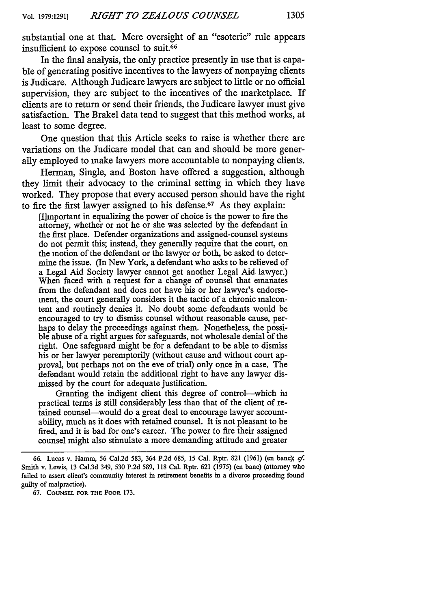substantial one at that. Mere oversight of an "esoteric" rule appears insufficient to expose counsel to suit.<sup>66</sup>

In the final analysis, the only practice presently in use that is capable of generating positive incentives to the lawyers of nonpaying clients is Judicare. Although Judicare lawyers are subject to little or no official supervision, they are subject to the incentives of the marketplace. If clients are to return or send their friends, the Judicare lawyer must give satisfaction. The Brakel data tend to suggest that this method works, at least to some degree.

One question that this Article seeks to raise is whether there are variations on the Judicare model that can and should be more generally employed to make lawyers more accountable to nonpaying clients.

Herman, Single, and Boston have offered a suggestion, although they limit their advocacy to the criminal setting in which they have worked. They propose that every accused person should have the right to fire the first lawyer assigned to his defense.67 As they explain:

[I]mportant in equalizing the power of choice is the power to fire the attorney, whether or not he or she was selected by the defendant in the first place. Defender organizations and assigned-counsel systems do not permit this; instead, they generally require that the court, on the motion of the defendant or the lawyer or both, be asked to determine the issue. (In New York, a defendant who asks to be relieved of a Legal Aid Society lawyer cannot get another Legal Aid lawyer.) When faced with a request for a change of counsel that emanates from the defendant and does not have his or her lawyer's endorsement, the court generally considers it the tactic of a chronic malcontent and routinely denies it. No doubt some defendants would be encouraged to try to dismiss counsel without reasonable cause, perhaps to delay the proceedings against them. Nonetheless, the possible abuse of a right argues for safeguards, not wholesale denial of the right. One safeguard might be for a defendant to be able to dismiss his or her lawyer peremptorily (without cause and without court approval, but perhaps not on the eve of trial) only once in a case. The defendant would retain the additional right to have any lawyer dismissed by the court for adequate justification.

Granting the indigent client this degree of control-which in practical terms is still considerably less than that of the client of retained counsel—would do a great deal to encourage lawyer accountability, much as it does with retained counsel. It is not pleasant to be fired, and it is bad for one's career. The power to fire their assigned counsel might also stimulate a more demanding attitude and greater

67. **COUNSEL** FOR **THE** POOR **173.**

<sup>66.</sup> Lucas v. Hamm, 56 Cal.2d 583, 364 P.2d 685, 15 Cal. Rptr. 821 (1961) (en banc); *c.* Smith v. Lewis, 13 Cal.3d 349, 530 P.2d 589, 118 Cal. Rptr. 621 (1975) (en banc) (attorney who failed to assert client's community interest in retirement benefits in a divorce proceeding found guilty of malpractice).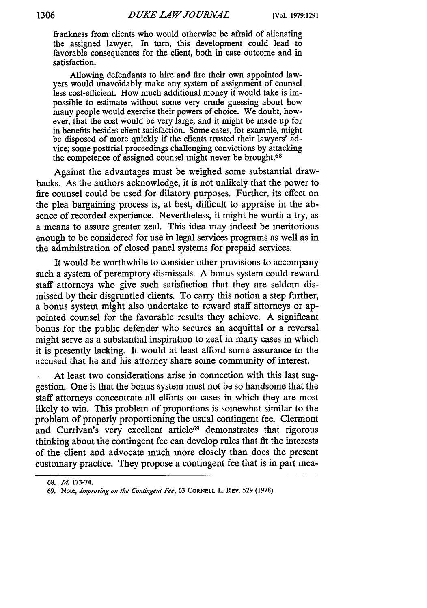frankness from clients who would otherwise be afraid of alienating the assigned lawyer. In turn, this development could lead to favorable consequences for the client, both in case outcome and in satisfaction.

Allowing defendants to hire and fire their own appointed lawyers would unavoidably make any system of assignment of counsel less cost-efficient. How much additional money it would take is impossible to estimate without some very crude guessing about how many people would exercise their powers of choice. We doubt, however, that the cost would be very large, and it might be made up for in benefits besides chent satisfaction. Some cases, for example, might be disposed of more quickly if the clients trusted their lawyers' advice; some posttrial proceedings challenging convictions **by** attacking the competence of assigned counsel might never be brought.<sup>68</sup>

Against the advantages must be weighed some substantial drawbacks. As the authors acknowledge, it is not unlikely that the power to fire counsel could be used for dilatory purposes. Further, its effect on the plea bargaining process is, at best, difficult to appraise in the absence of recorded experience. Nevertheless, it might be worth a try, as a means to assure greater zeal. This idea may indeed be meritorious enough to be considered for use in legal services programs as well as in the administration of closed panel systems for prepaid services.

It would be worthwhile to consider other provisions to accompany such a system of peremptory dismissals. A bonus system could reward staff attorneys who give such satisfaction that they are seldom dismissed by their disgruntled clients. To carry this notion a step further, a bonus system might also undertake to reward staff attorneys or appointed counsel for the favorable results they achieve. A significant bonus for the public defender who secures an acquittal or a reversal might serve as a substantial inspiration to zeal in many cases in which it is presently lacking. It would at least afford some assurance to the accused that he and his attorney share some community of interest.

At least two considerations arise in connection with this last suggestion. One is that the bonus system must not be so handsome that the staff attorneys concentrate all efforts on cases in which they are most likely to win. This problem of proportions is somewhat similar to the problem of properly proportioning the usual contingent fee. Clermont and Currivan's very excellent article<sup>69</sup> demonstrates that rigorous thinking about the contingent fee can develop rules that fit the interests of the client and advocate much more closely than does the present customary practice. They propose a contingent fee that is in part mea-

**<sup>68.</sup>** *Id.* 173-74.

<sup>69.</sup> Note, *Improving on the Contingent Fee,* 63 CORNELL L. REv. 529 (1978).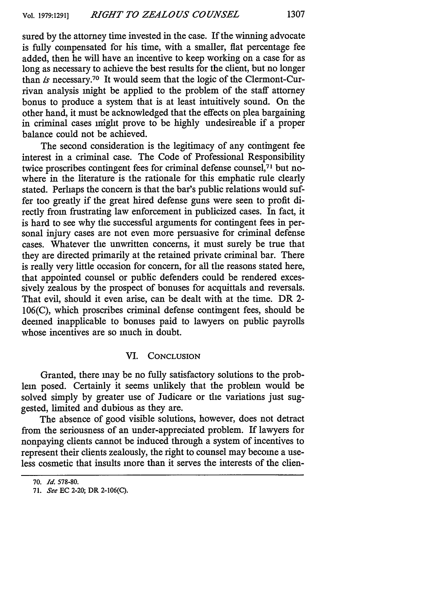sured by the attorney time invested in the case. If the winning advocate is fully compensated for his time, with a smaller, flat percentage fee added, then he will have an incentive to keep working on a case for as long as necessary to achieve the best results for the client, but no longer than *is* necessary.70 It would seem that the logic of the Clermont-Currivan analysis might be applied to the problem of the staff attorney bonus to produce a system that is at least intuitively sound. On the other hand, it must be acknowledged that the effects on plea bargaining in criminal cases might prove to be highly undesireable if a proper balance could not be achieved.

The second consideration is the legitimacy of any contingent fee interest in a criminal case. The Code of Professional Responsibility twice proscribes contingent fees for criminal defense counsel,  $71$  but nowhere in the literature is the rationale for this emphatic rule clearly stated. Perhaps the concern is that the bar's public relations would suffer too greatly if the great hired defense guns were seen to profit directly from frustrating law enforcement in publicized cases. In fact, it is hard to see why the successful arguments for contingent fees in personal injury cases are not even more persuasive for criminal defense cases. Whatever the unwritten concerns, it must surely be true that they are directed primarily at the retained private criminal bar. There is really very little occasion for concern, for all the reasons stated here, that appointed counsel or public defenders could be rendered excessively zealous by the prospect of bonuses for acquittals and reversals. That evil, should it even arise, can be dealt with at the time. DR 2- 106(C), which proscribes criminal defense contingent fees, should be deemed inapplicable to bonuses paid to lawyers on public payrolls whose incentives are so much in doubt.

## VI. CONCLUSION

Granted, there may be no fully satisfactory solutions to the problem posed. Certainly it seems unlikely that the problem would be solved simply by greater use of Judicare or the variations just suggested, limited and dubious as they are.

The absence of good visible solutions, however, does not detract from the seriousness of an under-appreciated problem. If lawyers for nonpaying clients cannot be induced through a system of incentives to represent their clients zealously, the right to counsel may become a useless cosmetic that insults more than it serves the interests of the clien-

**<sup>70.</sup>** *Id.* **578-80.**

<sup>71.</sup> See EC 2-20; DR 2-106(C).